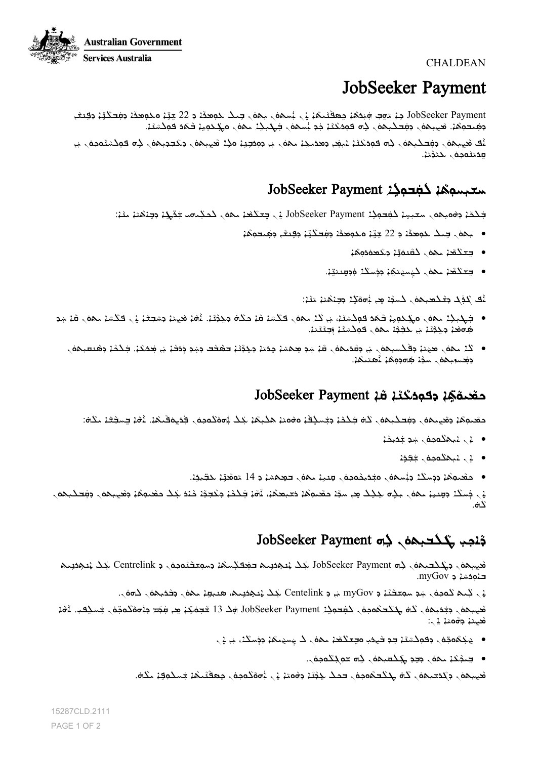### CHALDEAN



# JobSeeker Payment

ܵJobSeeker Payment جا شيخم چې په په ډېره په په ډې په په چې چې د مخالف د 22 چي او مخالف د چې چې د چې د مخالف ܲ ܲ ܲ  $\ddot{\phantom{a}}$ ܵ ܲ ܵ  $\overline{a}$ ܲ ܵ 1 <del>دت دی ده دی کار پایان به محمد شده کرده با با دیگر در دیگر در سال ۱۹۵۰</del><br>جغی<del>د</del>مِمْ: فعِیمِمْه، جغِفیکیه، دِم کودخَنْهُ خِمْ بُسمه، <del>ب</del>َہیدِ عَمْه، مِهْکمِهِ تَحَمْ کوکشَهْ. ܲ ܲ ܲ ܲ ܲ  $\begin{array}{c}\n\hline\n\end{array}$ ܲ ܲ ܲ ܲ  $\ddot{\phantom{a}}$ 

 $\mathbf{\hat{B}}$ ق  $\mathbf{\hat{S}}_{\mathbf{A}}$ ە ِ ج $\mathbf{\hat{S}}_{\mathbf{A}}$  ،  $\mathbf{\hat{S}}_{\mathbf{A}}$  ،  $\mathbf{\hat{S}}_{\mathbf{A}}$  ،  $\mathbf{\hat{S}}_{\mathbf{A}}$  ،  $\mathbf{\hat{S}}_{\mathbf{A}}$  ،  $\mathbf{\hat{S}}_{\mathbf{A}}$  ،  $\mathbf{\hat{S}}_{\mathbf{A}}$  ،  $\mathbf{\hat{S}}_{\mathbf{A}}$  ،  $\mathbf{\hat{S}}_{\mathbf{A}}$  ،  $\mathbf{\hat$ ܲ  $\ddot{\phantom{a}}$ ܲ ܲ ܲ  $\overline{\phantom{a}}$ ܲ ܲ ܲ يختنقهم أحتجته. ܵ ܲ  $^{\circ}$ 

### ستبسەھْۂ كَ<del>ښت</del>مېكْ2 JobSeeker Payment ܲ ܵ

جَلْمَا وَهُمْبِهُمْ سَتَجِيبَ لَفَتُوذِيْ JobSeeker Payment فِي صِبْكَعَا مِهَمْ لَمَجْلِسِمَا عَنَا مِنْكُمَ ܲ ܲ ܲ ܵ j ܲ ܲ ܲ

- أجماح جلد لموهدة و 22 جتة محوهدة و<del>باد</del>لاتة وفعل وهلجولاء ܵ ܲ ܵ ֘֒ ܲ ܵ  $\overline{a}$ 
	- <del>ي</del>ـَكْفَدْ مكمْ دْقْبَقْدْ دِكْعَمْدُوكْدْ ܲ ܲ ܲ
	- <del>ي</del>ـ<del>ى</del>ڭغة عمق كېمۇشكة دۈمكة ۋ<mark>ەس</mark>ىقة. ֘֒ ܲ ܲ ܼ ܲ ܵ

ܹܐ ܕ ܠ ܗܘ ܐ ܸܡܢ ܼܐ ܢ ܠܚܕ ܠܡ ܼܝܬܘ ܓ ܕܫ ܼܪ ܦ ܓ ܵ ܐ ܐ: ܐ ܝܵܢ ܝܵ ܹܒܐܬ ܵ 1 ܵ ܲ ׇׅ ܲ ܵ ܲ  $\frac{1}{2}$ 

- ܐ ܢ ܩ ܵܚܐ ܝܬܘ ܐ ܐܸܢ ܦܠ ܵ ܐ ܕ ܵܚ ݂ܒܫ ܨܝܵ ܐ ܡ ܵ ܗ ܵ ܐ. ܐ ܢ ܕ ܸܥܕ ܗ ܐ ܟܠ ܵ ܵܚܐ ܩ ܢ ܦܠ ܵ ܐ ܝܬܘ ܢ ܠ ܐ، ܼܝܲ ܪ ܦ ܼܘܠ ܵܚܢ ܬ ݇ ܥ ܼܘܝܹܐ ܒ ܵ <sup>ܢ</sup> <sup>ܘ</sup> ܼܛ ܲ ܛ ܼܝ ܹܠܐ ܝܬܘ ܼܒ ܕ ܼܚ ܲ ܵ ܲ ܵ ܵ ܵ ܵ ֦ ܵ ܲ ܵ ܵ ܲ ܲ ب<del>ې بې بې د کې د ۱۳۰۰ د د ۱۳۰۰ مخ</del>لسې کې د مختلف په د مختلف د چلونه د بالاندې د مختلف د مختلف د مختلف د مختلف د<br>مختلف د محکونه د بالانکونه د مختلف مختلف د المحمد المحمد د محکونه د بالانکونه د مختلف د المحمد المحمد المحمد  $\overline{a}$  $\frac{1}{2}$ ܲ ܼ  $\ddot{\phantom{a}}$ ܲ ܵ  $\begin{array}{c}\n\hline\n\end{array}$ ܵ
	- ܕ ܐ ܼܚ ܲ ܢ ܩ ܪ ܼܝܬܘ ܢ ܕܩ ܢ ܼܝܲ ܠܚ ܼܝܬܘ ܐ ܕܦ ܢ ܡ ܵܨܝܵ ܐ ܝܬܘ ܠ ܢ ܢܩ ܼܝܬܘ ܐ ܕܣ ܵ ܠܟܵ ܐ. ܼܒ ܪܥ ܵ ܢ ܼܡ ܲ ܐ ܼܝܲ ܪܒ ܵ ܕ ܼܕ ܒ ܕ ܼܚ ܲ ܒ ܵ ܐ ܒܣ ܵ ܢ ܐ ܕ ܸܥܕ ܸܡܬ ܵܚܐ ܟܸܪܝܵ ܵ ܲ ܵ ܲ ܲ ܵ ܲ ܲ ܲ  $\ddot{\phantom{a}}$ ܵ بالمُستَجَمَعَة المُسْتَجَمَّة المُسْتَجَمَّة المُسْتَجَمَة.<br>جمعيت المُسَبِّدة المُسْتَجَمَّة المُسْتَجَمَّة المُسْتَجَمَة. ܵ ׇ֚ ܲ

#### دىخىمەتكى ئىقاتلىق ئىق JobSeeker Payment ܵ  $\begin{array}{cccc}\n\end{array}$ į ܵ ܵ

دىمكر دىسى دىن جايدىمى، كان جككر دىن مان دەمىر ھكىكر بكى بان كىمى بىلى قىمىنى ئان ئىن يىسىدى مىدىن. ܵ ܲ ܲ ֦ ܵ ܲ ܲ ܲ ܵ ֚֚֚֬ ܵ ܵ ܵ ܲ ܲ ܲ ܵ ܵ ܲ

- ٤أب 2، 2, 2×2 جُدُمِكُمْ ﴾ ܲ ܲ ܵ
	- ٤, ٤جغود خج l ܲ ܲ ܵ
- ܢ ܒ ܸܡܬ ܵܚܐ ܕ ܢ ܸܩܢܝܹܐ ܝܬܘ ܘ ݂ܟܘ ܪ ܼܝܟܵ ܢ ܘ ܼܫ ܚܬܘ ܐ ܕ ܼܐ ܚܠ ܵ ܐ ܕ ܼܕ ܝ ܼܘܬ ܵ ܟܡ 14 ܼܝܪܹܐ. ܹܐ ܥ ݂ܒ ܢ ܝܵܘܡ ܵ ܲ ܲ ܲ ܲ ܲ ܲ ܵ l  $\overline{a}$

ے، جَسکد دِهِیہِ نَجْمَ نَکِیْکَ کِی سَجَدٌ مَعْیَمِکُمْ مُعْیَمِکُمْ، آمَّهُ جَکَمَهُ مَکْیَمِکُمْ مَعْیِمِکُمْ وَضِحِکْمِکُمْ مَعْیَمِکُمْ مَعْیَمِکُمْ مَقْلِ مَعْیَمِکُمْ مَعْیَمِکُم ܵ ܲ ܲ ܲ ܲ ܲ ܵ ܲ ܵ . ܗ ܠ ֦ ܵ

### نائجہ چُلکتبھٹہ ﴿ JobSeeker Payment ܲ ܵ ܵ

مى جېگىلىمەن دېگىلىك ئەكىمەت JobSeeker Payment دېگىلىكىنى ئاسمەت ئىمۇنىدۇ. جەككىنىڭ ئىچەدىمەت ئاسمىنى ئىمۇنىد ܲ ܲ ܵ ܲ  $\begin{array}{c} \begin{array}{c} \hline \end{array} \\ \hline \end{array}$ ܲ ܲ د۱م: Aw جـ myGov.

> ،<br>۲٫ کیم کمچف ہو سو<del>یکٹ</del>نے و myGov ہے و Centelink کی ینہذیتھ، منب<del>و</del>ع نمف و<del>ئ</del>کیٹھ ک<del>ر</del>مف  $\overline{\phantom{a}}$ ܲ ܵ ܲ ܲ ܲ ܲ ܲ

نى جغدى جغدى جندى كى كەنگەن ئىلىدى ئاسكەل JobSeeker Payment ۋە 13 خجەتكە يىلى بىكتى دەھەتكەتتى ، جىلىگى ئى ܲ ܲ ֦ ܵ ܲ ܲ ܲ ܲ ܵ ܲ ܲ  $\overline{a}$ ܵ ܵ ܲ ݇ ܲ ܲ ܵ ،<br>محيكة جمعة جنية

- $\bullet$  پنجگوتول وقوڭشتا چو څونې وچتگفا بخۇل كا پسهنگا وېسكان بى ܵ ܲ  $\overline{a}$ ܲ ܲ
	- <del>ی</del>ہثکۂ ہمنی <mark>ډید *ہ*لاسیمنی ڈی عولمندمی</mark>۔ ܲ ܲ ܲ ܵ

-<br>فعيمه جين المستقبح المستقوم المستقوم المستقوم المستقوم المستقوم المستقوم المستقوم المستقوم المستقوم المستقوم ا ܲ ܲ ܵ ֧֦֧֦֧֦֧֦֧֦֧֦֧֚֬ ܲ  $\ddot{\phantom{a}}$ ܵ ܲ ܵ ܵ ܲ  $\label{eq:1}$ ܵ ܲ ֦ ܵ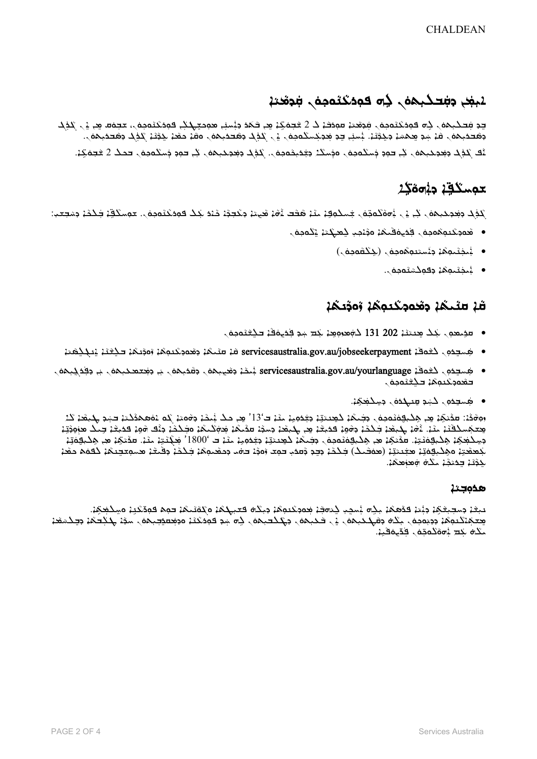### دْ، جُبْ جِبَاحِكْـدِهِ جَمْ دَيْمَة عَمَد جَمَعَته ܲ ܲ ܵ ܲ ܲ

جو ضحکیمف، کِی قودکَتَموف، ضِحْحَدِ صودَکَنْ کَ 2 جُجمَکِنْ هِی کَمَدَ دِیْسَنِی موجہکِنْی قودکَتَمومَن، عجمَعا هِی یَنِ کُذِک ܲ ܲ  $\frac{1}{2}$ ܲ ܲ ܲ ܲ  $\ddot{\phantom{a}}$ ܲ ܲ ܲ ܲ ܲ <del>؞ ډى دې دې دې دې پارى پارى د دې پارى د چې پارى چې په چې پارى چې پارى چې چې پارى چې چې بارى.</del><br>جۇ<del>ىد</del>دېمۇي قال بىد ھىمىنا دېدۇنا، ياسنى چە فىدېكىكەدۇي ياي تارىكى دۇىددېمۇي ەقال دۇنا يۇنانا تارىكى دۇىددېمۇي. ܲ ܲ ܵ ܵ ܵ ܲ ܲ ܲ ܲ ܲ  $^{\circ}$ ؙ<br>ّ ܵ ܲ ئَف كَذِك جَعْدِكِيهِمْ كِي حودِ جَسَكُمْحِمْ ، مَجْسَكَدْ جَعْدَمِكْمُحِمْ . كَذِك جَعْدِكَيْمَة ، كَمَا جَدَ ܲ ܲ ܲ ܲ ܲ ܲ ܲ ܲ ܲ ܲ ܲ ܲ ܲ ܲ ܵ

### <del>ى</del>ممڭق دفەقلا ֦֧֢֚֚֚֬ ܵ ܲ ܵ

ﻼ<mark>ݙ</mark>ﺩ ډஒډﯨﺪﯨﻤﻪﻥ ﻛﻰ ﺇﻥ គ្ឈិ<mark>ក</mark>ទាញ <del>ﺧﯩﺪﻩﻗﺎ ﻏﺎﺭ ﻣﯘﺭ ﻣﺎﺭ ﻣﯩ</del>ﺪﻩ ﺧﯩﺪ ﺩﻩ ﺩﯨﺪ ﻗﯩﺪ ﺩﻩ ﺩﯨﺪ ﺩﻩ ﻣﯩﺪﻩ ﺩﻩ ﺩﻩ ﺩﻩ ﺩﻩ ﺩﻩ ﺩﻩ ﺩﻩ ﺩ ܲ 1 ܲ  $\ddot{\phantom{a}}$ ܵ ܵ ܵ ܲ ܲ ܵ ܵ ܲ ܲ ܲ ܲ ܵ

- ھەدىدىمكەدە كدىمقىكە ەۋەب كىرىدۇ ياكەدە ، ܲ ܵ ܵ ܲ ܲ ܲ
	- ܢ ) ܹܥܠ ܵ ܘ ݂ܟܘ ܚܝܵܢ ܼܘܬ ܵ ܐ ܕܐ ܝ ܼܘܬ ܵ ܢ ܝ ܼܟ ܼܐ ܢ( ܘ ݂ܟܘ ܩ ܵ ܲ ݇  $^{\circ}$ ܲ ܲ ܲ
		- ܢ. ܘ ݂ܟܘ ܐ ܕܦ ܼܘܠ ܵܚܢ ܝ ܼܘܬ ܵ ܢ ܝ ܼܟ ܼܐ ܲ  $^{\circ}$  $^{\circ}$ ܲ ܲ

### ڞڶڡڬ؉ڋ ڋڞڡڋێڬؠ؋ػڋ؇ۏڋؽػڋ ܵ ؚ<br>ا  $\ddot{ }$ ܵ

- مجمعی بحد هنتنز 202 131 دؤمومونز بحد باد فحمة الحكتموني ܵ ܲ ܲ  $\ddot{\phantom{a}}$ ܵ ܵ ܲ ܲ ܲ
- هِسْيِدُونَ دَعْمَقْهُ servicesaustralia.gov.au/jobseekerpayment مَنْ مَتَنَمَّةُ وَمَوْمَتِهُمْ وَمَحْدَم ܵ ܲ  $\overline{\phantom{a}}$ ܵ ܵ ܵ ܵ ܵ
- ܐ ܘܦ ܚ ܸܒܪ ܼܘܢ ܠܫ ܢ servicesaustralia.gov.au/yourlanguage ܣܼ ܪ ̰ܓ ܼܝܬܘ ܢ ܕ ܼܦ ܢ ܼܝܲ ܫܡܥ ܼܝܬܘ <sup>ܢ</sup> <sup>ܕ</sup> ܼܡ ܲ ܢ ܼܝܲ ܪ ܼܝܬܘ ܢ ܕܩ ܨ ܼܝܬܘ ܐ ܕܡ ܵ ܝܟܵ ܼܐ ܵ ܲ ܲ ܲ ܲ ܲ ܵ ܲ ܲ دهمو ديندوهم سي دي.<br>د همو څخه هم سي ܲ ܵ ܵ
	- ﴿ ﴿ هِ<del>مَا يَ</del>دْهِ ﴾ لاَ يَدْمُ عَنْهُمْ يَجْمَدُهُمْ وَلِلْمُحَمَّةِ ﴾ ﴾ ﴿ وَلَا يَجْمَعُونَ أَنْ ܲ

وەقدْ: ھڏتيْن ھي ھِكبھفتمجف، ججيگنا كھينٽنا جَجُدون عنا 13°، ھي حڪ بُيڪا جومنا كم دفعھقكنا ڪيم <mark>پکيفا ك</mark>ا ܲ  $\label{eq:1}$ ܲ ܵ ܵ ׅ֔֒  $\ddot{\phantom{a}}$ ܲ  $\overline{a}$ ܲ ܵ ܵ ܲ ܲ ܲ ܼ ܐ ܹܒܝܠ ܡܙ ܘܹܐ ܦܪ ܼܝܫ ܦ ܗ ܵ ܐ ܕܐ ܠܟܵ ܐ ܘ ܼܒ ܝܬ ܵ ܠ ܼܗ ܐ ܼܡ ܲ ܝܬ ܵ ܐ ܩܪ ܐ ܕܚܕ ܐ ܸܡܢ ܛ ܼܝܡ ܵ ܘܹܐ ܦܪ ܼܝܫ ܐ ܕܗ ܵ ܠܟܵ ܐ ܼܒ ܐ ܛ ܼܝܡ ܵ ܗ ܵ ܐ. ܐ ܐ ܝܢ ܢ ܚܠܦ ܹ ܸܡܫ ܼܬ ܐ ܢ ܘܸܕ ܵ ܵ ܲ ܵ ܲ ܵ ܵ ܵ ܲ ܵ  $\overline{a}$ ܵ ܲ  $\overline{a}$ ܵ <u>- ﺍﺟ</u>ﺒ <del>ﺍﺣﺒﻮ</del>ﻣﺘﺘﺪ. ﺳﺘﯩﺘﭽﺪ ﻣﯥ <u>ﺟﯩ</u>ﻠﻰ ﺳﯧﺘﻰ ﺩﻩ ﻣﯧﺘﯩﻦ ﺩﻩ ﻣﯩﻠﻰ ﺳﺎﺩﻩ ﺑﯩﻠﻪﺕ ﺑﯩﻠﻪﺕ ﺩﻩ 1800 - ﻣﯧﺘﯩﻦ ﻣﻪ ﻣﺎﺩﻩ ﻣﻪ ﮬﺎﺩﻩ ﻣﯩﺘ ܵ ܲ ܲ ܵ ܲ  $\overline{a}$ ܲ ܲ  $\ddot{\phantom{a}}$ ܲ ܵ .<br>: ܲ ܵ ܵ ܵ ܵ ۦٞڝۼڿؠٞۛ؋؋ۜۮۦڸۊۜ؋ۊؠٞۛ؇ۼٮٷؠۜۯ۞ڞػٛۑۮۜ)ٞ؋ڂۮۼۯ؋ڡۣڋۄڣڡۻ؋ۿؽۄڂؽۄۿؠ؋ۮۿڂؠ؋ػۘڴٷ؇ڝڡڡڡڝڲؠػؽۯۮڰڡۿۿٚ؋ػڋ ܲ ܵ ܵ ܲ ֦֘ ܵ ܵ ܵ ܲ ܲ .<br>. ܲ  $\overline{a}$ ܲ ܲ ܵ جَدَبَ يَحْمَدُ حَكَمَ مَعَبَهَمْ. ܵ ܲ ܼ ܲ ׇ֚֬֝

## هخوجنة

l ىڭ دسجىغى دئنا قۇھكا بىگە ئسچىر شەڭا ھەدىدىمى دىكە قەتىپىگا مىگەنىكا قوم قوقىدا مىلىھى. j  $\ddot{\phantom{a}}$ ܵ ֦ ܲ ؚ<br>ا ܲ ܵ ܵ ܕ ܢ ܹܠܗ ܼܚ ܲ ܵܛܠܒ ܼܝܬܘ ܢ ܕ ܥ ܼܝܬܘ ܢ ܐܸܢ ܒ ܵ ܛܥ ܼܝܬܘ ܕܩ ܗ <sup>ܢ</sup> ܼܝܠ ܵ ܐ ܕܕ ܼܝܵܘ ݂ܟܘ ܢ ܼܘܬ ܵ ܐܠ ܸܡܫ ܼܬ ܐ ܐ ܕ ܸܒܠ ܵܚܡ ܵ ܒܬ ܵ ܐ ܛ ܼܠ ܢ ܚܕ ܩܪܸ ݂ܒ ܼܝܬܘ <sup>ܐ</sup> ܘܕ ܼܡ ܲ ܢ <sup>ܦ</sup> ܼܘܪܥ ܵ ܲ ܲ ܲ ܵ ׇ֦֘֝ ܲ ܵ ܲ ܲ ܵ ܲ  $\ddot{\phantom{a}}$ ܝܹܐ ܦ ܨܘ ܪ ܢ ܼܦ ܘ ܘ ݂ܟ ܠ ܗܘ ܡ ܼܐ ܼܥ ܲ ܗ ܝܠ . ܲ ֪ׅ֪ׅ֪֪֪ׅ֚֚֚֚֚֚֚֚֚֚֚֚֚֚֚֚֚֚֡֡֡֡֡֡֡֡֡֡֝֬֝֞֝֬֓֡֞֟֓ ܲ ܲ  $\overline{a}$ ܵ ܵ ܲ ֺ֖֖֖֧֪ׅ֖֖֧֪ׅ֖֧֧֪ׅ֖֧֧֧֪֪֪ׅ֦֧֧֧֚֚֚֚֚֚֚֚֚֚֚֚֚֚֚֚֚֚֚֚֚֚֝֝֝֝֝֝֝֝֝֝֝֝֝֝֝֞֝֝֞֝֬֞֝֞֞֝֝֬֝֞֝֞֞֝֬֝֞֞֝֝֬֝֬֝֝֬ ܵ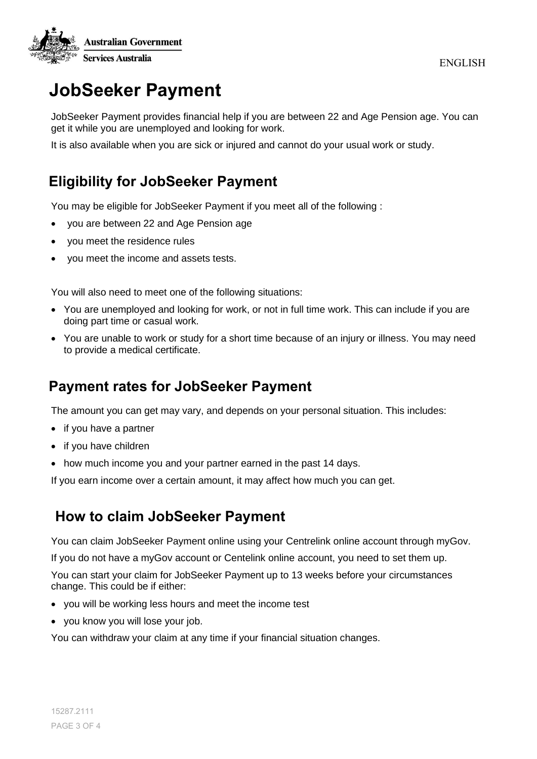

ENGLISH

# **JobSeeker Payment**

JobSeeker Payment provides financial help if you are between 22 and Age Pension age. You can get it while you are unemployed and looking for work.

It is also available when you are sick or injured and cannot do your usual work or study .

## **Eligibility for JobSeeker Payment**

You may be eligible for JobSeeker Payment if you meet all of the following :

- you are between 22 and Age Pension age
- you meet the residence rules
- you meet the income and assets tests .

You will also need to meet one of the following situations:

- You are unemployed and looking for work, or not in full time work. This can include if you are doing part time or casual work.
- You are unable to work or study for a short time because of an injury or illness. You may need to provide a medical certificate .

## **Payment rates for JobSeeker Payment**

The amount you can get may vary, and depends on your personal situation. This includes :

- if you have a partner
- if you have children
- how much income you and your partner earned in the past 14 days.

If you earn income over a certain amount, it may affect how much you can get.

## **How to claim JobSeeker Payment**

You can claim JobSeeker Payment online using your Centrelink online account through myGov .

If you do not have a myGov account or Centelink online account, you need to set them up .

You can start your claim for JobSeeker Payment up to 13 weeks before your circumstances change. This could be if either:

- you will be working less hours and meet the income test
- you know you will lose your job.

You can withdraw your claim at any time if your financial situation changes .